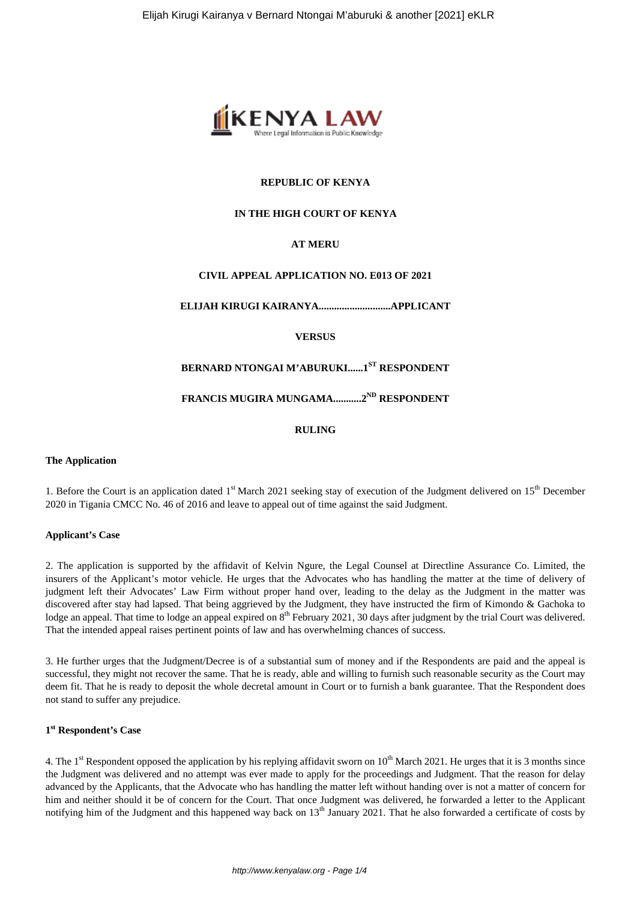

## **REPUBLIC OF KENYA**

## **IN THE HIGH COURT OF KENYA**

## **AT MERU**

## **CIVIL APPEAL APPLICATION NO. E013 OF 2021**

**ELIJAH KIRUGI KAIRANYA............................APPLICANT**

**VERSUS**

## **BERNARD NTONGAI M'ABURUKI......1ST RESPONDENT**

**FRANCIS MUGIRA MUNGAMA...........2ND RESPONDENT**

**RULING**

## **The Application**

1. Before the Court is an application dated 1<sup>st</sup> March 2021 seeking stay of execution of the Judgment delivered on 15<sup>th</sup> December 2020 in Tigania CMCC No. 46 of 2016 and leave to appeal out of time against the said Judgment.

## **Applicant's Case**

2. The application is supported by the affidavit of Kelvin Ngure, the Legal Counsel at Directline Assurance Co. Limited, the insurers of the Applicant's motor vehicle. He urges that the Advocates who has handling the matter at the time of delivery of judgment left their Advocates' Law Firm without proper hand over, leading to the delay as the Judgment in the matter was discovered after stay had lapsed. That being aggrieved by the Judgment, they have instructed the firm of Kimondo & Gachoka to lodge an appeal. That time to lodge an appeal expired on 8<sup>th</sup> February 2021, 30 days after judgment by the trial Court was delivered. That the intended appeal raises pertinent points of law and has overwhelming chances of success.

3. He further urges that the Judgment/Decree is of a substantial sum of money and if the Respondents are paid and the appeal is successful, they might not recover the same. That he is ready, able and willing to furnish such reasonable security as the Court may deem fit. That he is ready to deposit the whole decretal amount in Court or to furnish a bank guarantee. That the Respondent does not stand to suffer any prejudice.

## **1 st Respondent's Case**

4. The 1<sup>st</sup> Respondent opposed the application by his replying affidavit sworn on  $10^{th}$  March 2021. He urges that it is 3 months since the Judgment was delivered and no attempt was ever made to apply for the proceedings and Judgment. That the reason for delay advanced by the Applicants, that the Advocate who has handling the matter left without handing over is not a matter of concern for him and neither should it be of concern for the Court. That once Judgment was delivered, he forwarded a letter to the Applicant notifying him of the Judgment and this happened way back on  $13<sup>th</sup>$  January 2021. That he also forwarded a certificate of costs by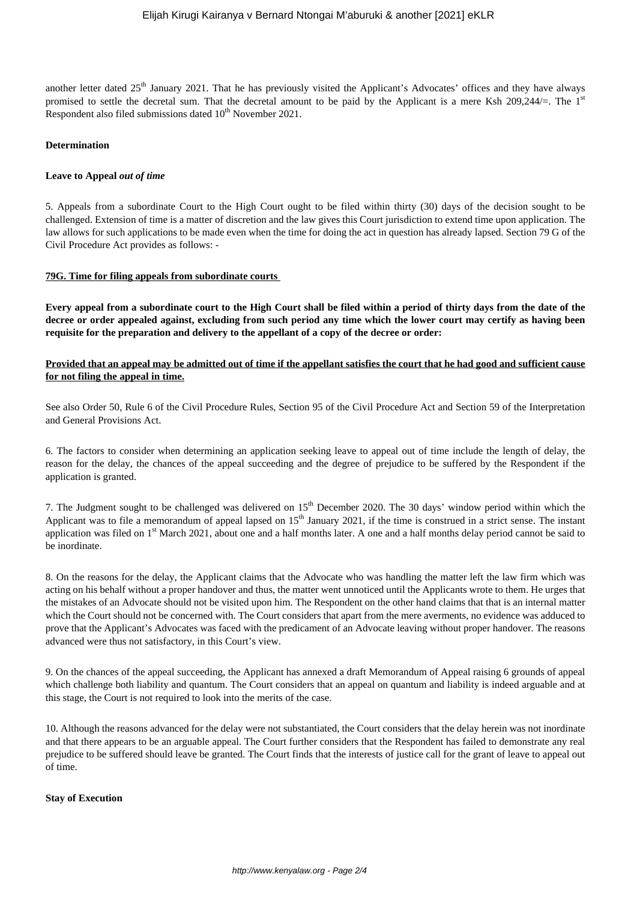another letter dated 25<sup>th</sup> January 2021. That he has previously visited the Applicant's Advocates' offices and they have always promised to settle the decretal sum. That the decretal amount to be paid by the Applicant is a mere Ksh 209,244/=. The  $1<sup>st</sup>$ Respondent also filed submissions dated  $10<sup>th</sup>$  November 2021.

### **Determination**

### **Leave to Appeal** *out of time*

5. Appeals from a subordinate Court to the High Court ought to be filed within thirty (30) days of the decision sought to be challenged. Extension of time is a matter of discretion and the law gives this Court jurisdiction to extend time upon application. The law allows for such applications to be made even when the time for doing the act in question has already lapsed. Section 79 G of the Civil Procedure Act provides as follows: -

#### **79G. Time for filing appeals from subordinate courts**

**Every appeal from a subordinate court to the High Court shall be filed within a period of thirty days from the date of the decree or order appealed against, excluding from such period any time which the lower court may certify as having been requisite for the preparation and delivery to the appellant of a copy of the decree or order:** 

## **Provided that an appeal may be admitted out of time if the appellant satisfies the court that he had good and sufficient cause for not filing the appeal in time.**

See also Order 50, Rule 6 of the Civil Procedure Rules, Section 95 of the Civil Procedure Act and Section 59 of the Interpretation and General Provisions Act.

6. The factors to consider when determining an application seeking leave to appeal out of time include the length of delay, the reason for the delay, the chances of the appeal succeeding and the degree of prejudice to be suffered by the Respondent if the application is granted.

7. The Judgment sought to be challenged was delivered on  $15<sup>th</sup>$  December 2020. The 30 days' window period within which the Applicant was to file a memorandum of appeal lapsed on 15<sup>th</sup> January 2021, if the time is construed in a strict sense. The instant application was filed on 1<sup>st</sup> March 2021, about one and a half months later. A one and a half months delay period cannot be said to be inordinate.

8. On the reasons for the delay, the Applicant claims that the Advocate who was handling the matter left the law firm which was acting on his behalf without a proper handover and thus, the matter went unnoticed until the Applicants wrote to them. He urges that the mistakes of an Advocate should not be visited upon him. The Respondent on the other hand claims that that is an internal matter which the Court should not be concerned with. The Court considers that apart from the mere averments, no evidence was adduced to prove that the Applicant's Advocates was faced with the predicament of an Advocate leaving without proper handover. The reasons advanced were thus not satisfactory, in this Court's view.

9. On the chances of the appeal succeeding, the Applicant has annexed a draft Memorandum of Appeal raising 6 grounds of appeal which challenge both liability and quantum. The Court considers that an appeal on quantum and liability is indeed arguable and at this stage, the Court is not required to look into the merits of the case.

10. Although the reasons advanced for the delay were not substantiated, the Court considers that the delay herein was not inordinate and that there appears to be an arguable appeal. The Court further considers that the Respondent has failed to demonstrate any real prejudice to be suffered should leave be granted. The Court finds that the interests of justice call for the grant of leave to appeal out of time.

#### **Stay of Execution**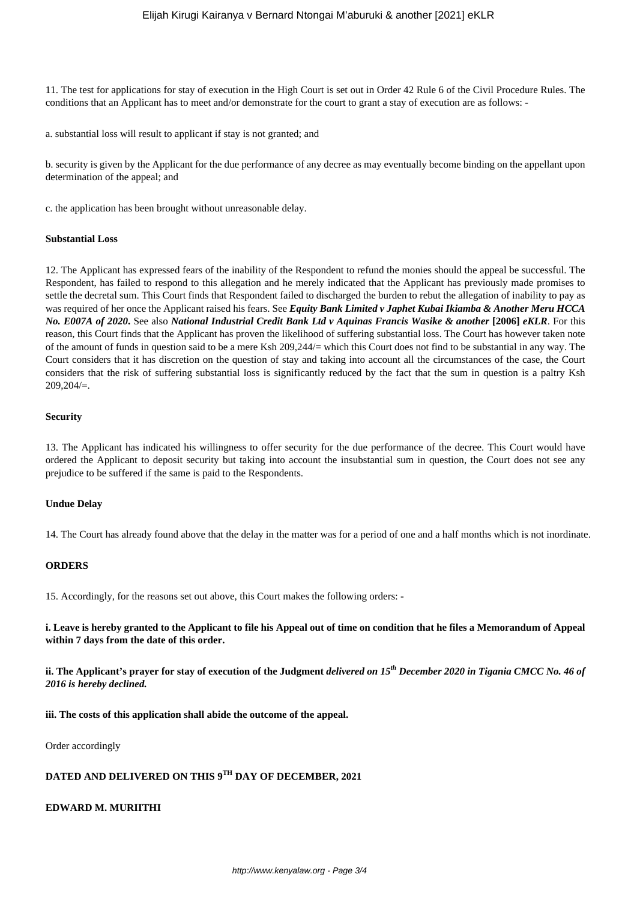11. The test for applications for stay of execution in the High Court is set out in Order 42 Rule 6 of the Civil Procedure Rules. The conditions that an Applicant has to meet and/or demonstrate for the court to grant a stay of execution are as follows: -

a. substantial loss will result to applicant if stay is not granted; and

b. security is given by the Applicant for the due performance of any decree as may eventually become binding on the appellant upon determination of the appeal; and

c. the application has been brought without unreasonable delay.

#### **Substantial Loss**

12. The Applicant has expressed fears of the inability of the Respondent to refund the monies should the appeal be successful. The Respondent, has failed to respond to this allegation and he merely indicated that the Applicant has previously made promises to settle the decretal sum. This Court finds that Respondent failed to discharged the burden to rebut the allegation of inability to pay as was required of her once the Applicant raised his fears. See *Equity Bank Limited v Japhet Kubai Ikiamba & Another Meru HCCA No. E007A of 2020***.** See also *National Industrial Credit Bank Ltd v Aquinas Francis Wasike & another* **[2006]** *eKLR*. For this reason, this Court finds that the Applicant has proven the likelihood of suffering substantial loss. The Court has however taken note of the amount of funds in question said to be a mere Ksh 209,244/= which this Court does not find to be substantial in any way. The Court considers that it has discretion on the question of stay and taking into account all the circumstances of the case, the Court considers that the risk of suffering substantial loss is significantly reduced by the fact that the sum in question is a paltry Ksh 209,204/=.

#### **Security**

13. The Applicant has indicated his willingness to offer security for the due performance of the decree. This Court would have ordered the Applicant to deposit security but taking into account the insubstantial sum in question, the Court does not see any prejudice to be suffered if the same is paid to the Respondents.

## **Undue Delay**

14. The Court has already found above that the delay in the matter was for a period of one and a half months which is not inordinate.

## **ORDERS**

15. Accordingly, for the reasons set out above, this Court makes the following orders: -

**i. Leave is hereby granted to the Applicant to file his Appeal out of time on condition that he files a Memorandum of Appeal within 7 days from the date of this order.**

**ii. The Applicant's prayer for stay of execution of the Judgment** *delivered on 15th December 2020 in Tigania CMCC No. 46 of 2016 is hereby declined.*

**iii. The costs of this application shall abide the outcome of the appeal.**

Order accordingly

# **DATED AND DELIVERED ON THIS 9TH DAY OF DECEMBER, 2021**

## **EDWARD M. MURIITHI**